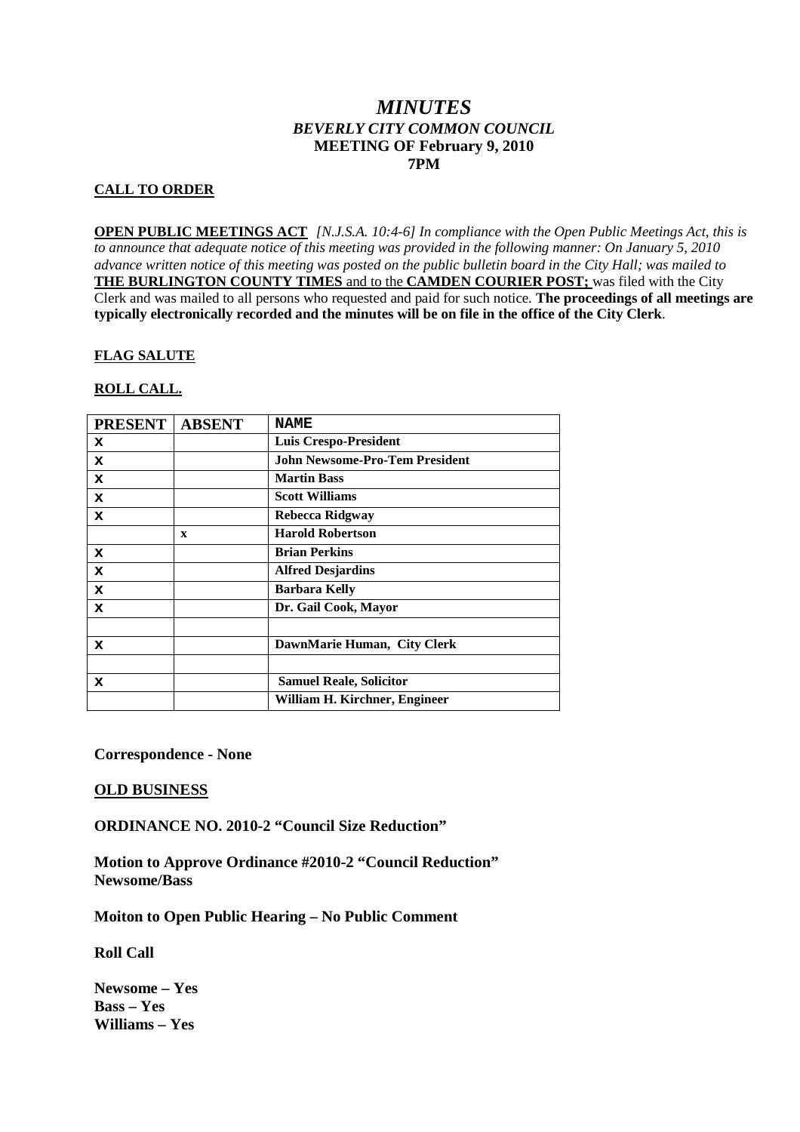# *MINUTES BEVERLY CITY COMMON COUNCIL* **MEETING OF February 9, 2010 7PM**

## **CALL TO ORDER**

**OPEN PUBLIC MEETINGS ACT** *[N.J.S.A. 10:4-6] In compliance with the Open Public Meetings Act, this is to announce that adequate notice of this meeting was provided in the following manner: On January 5, 2010 advance written notice of this meeting was posted on the public bulletin board in the City Hall; was mailed to* **THE BURLINGTON COUNTY TIMES** and to the **CAMDEN COURIER POST;** was filed with the City Clerk and was mailed to all persons who requested and paid for such notice. **The proceedings of all meetings are typically electronically recorded and the minutes will be on file in the office of the City Clerk**.

#### **FLAG SALUTE**

#### **ROLL CALL.**

| <b>PRESENT</b> | <b>ABSENT</b> | <b>NAME</b>                    |
|----------------|---------------|--------------------------------|
| x              |               | <b>Luis Crespo-President</b>   |
| x              |               | John Newsome-Pro-Tem President |
| x              |               | <b>Martin Bass</b>             |
| x              |               | <b>Scott Williams</b>          |
| x              |               | Rebecca Ridgway                |
|                | X             | <b>Harold Robertson</b>        |
| x              |               | <b>Brian Perkins</b>           |
| x              |               | <b>Alfred Desjardins</b>       |
| x              |               | <b>Barbara Kelly</b>           |
| x              |               | Dr. Gail Cook, Mayor           |
|                |               |                                |
| x              |               | DawnMarie Human, City Clerk    |
|                |               |                                |
| x              |               | <b>Samuel Reale, Solicitor</b> |
|                |               | William H. Kirchner, Engineer  |

**Correspondence - None**

#### **OLD BUSINESS**

**ORDINANCE NO. 2010-2 "Council Size Reduction"**

**Motion to Approve Ordinance #2010-2 "Council Reduction" Newsome/Bass**

**Moiton to Open Public Hearing – No Public Comment**

**Roll Call**

**Newsome – Yes Bass – Yes Williams – Yes**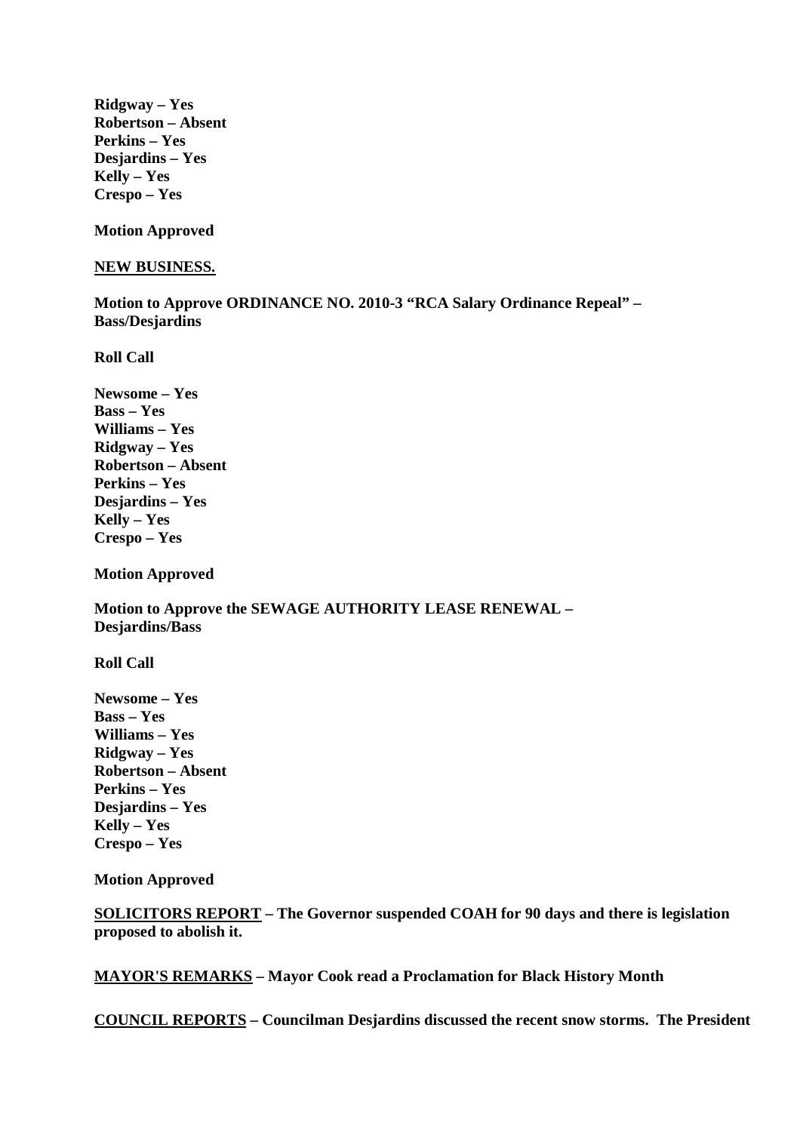**Ridgway – Yes Robertson – Absent Perkins – Yes Desjardins – Yes Kelly – Yes Crespo – Yes**

**Motion Approved**

#### **NEW BUSINESS.**

**Motion to Approve ORDINANCE NO. 2010-3 "RCA Salary Ordinance Repeal" – Bass/Desjardins**

**Roll Call**

**Newsome – Yes Bass – Yes Williams – Yes Ridgway – Yes Robertson – Absent Perkins – Yes Desjardins – Yes Kelly – Yes Crespo – Yes**

**Motion Approved**

**Motion to Approve the SEWAGE AUTHORITY LEASE RENEWAL – Desjardins/Bass**

**Roll Call**

**Newsome – Yes Bass – Yes Williams – Yes Ridgway – Yes Robertson – Absent Perkins – Yes Desjardins – Yes Kelly – Yes Crespo – Yes**

**Motion Approved**

**SOLICITORS REPORT – The Governor suspended COAH for 90 days and there is legislation proposed to abolish it.**

**MAYOR'S REMARKS – Mayor Cook read a Proclamation for Black History Month**

**COUNCIL REPORTS – Councilman Desjardins discussed the recent snow storms. The President**